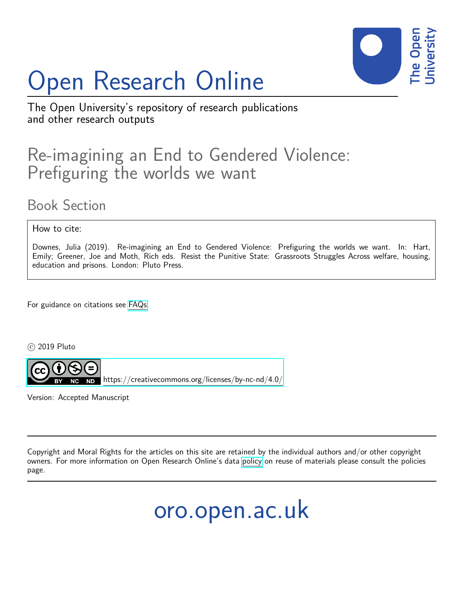# Open Research Online



The Open University's repository of research publications and other research outputs

# Re-imagining an End to Gendered Violence: Prefiguring the worlds we want

# Book Section

# How to cite:

Downes, Julia (2019). Re-imagining an End to Gendered Violence: Prefiguring the worlds we want. In: Hart, Emily; Greener, Joe and Moth, Rich eds. Resist the Punitive State: Grassroots Struggles Across welfare, housing, education and prisons. London: Pluto Press.

For guidance on citations see [FAQs.](http://oro.open.ac.uk/help/helpfaq.html)

(c) 2019 Pluto



<https://creativecommons.org/licenses/by-nc-nd/4.0/>

Version: Accepted Manuscript

Copyright and Moral Rights for the articles on this site are retained by the individual authors and/or other copyright owners. For more information on Open Research Online's data [policy](http://oro.open.ac.uk/policies.html) on reuse of materials please consult the policies page.

oro.open.ac.uk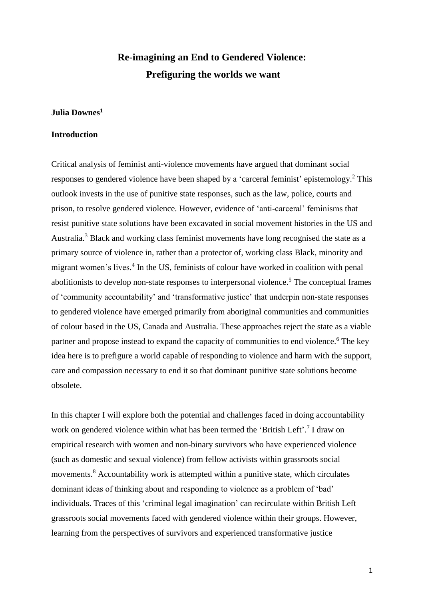# **Re-imagining an End to Gendered Violence: Prefiguring the worlds we want**

#### **Julia Downes<sup>1</sup>**

#### **Introduction**

Critical analysis of feminist anti-violence movements have argued that dominant social responses to gendered violence have been shaped by a 'carceral feminist' epistemology.<sup>2</sup> This outlook invests in the use of punitive state responses, such as the law, police, courts and prison, to resolve gendered violence. However, evidence of 'anti-carceral' feminisms that resist punitive state solutions have been excavated in social movement histories in the US and Australia. <sup>3</sup> Black and working class feminist movements have long recognised the state as a primary source of violence in, rather than a protector of, working class Black, minority and migrant women's lives. 4 In the US, feminists of colour have worked in coalition with penal abolitionists to develop non-state responses to interpersonal violence.<sup>5</sup> The conceptual frames of 'community accountability' and 'transformative justice' that underpin non-state responses to gendered violence have emerged primarily from aboriginal communities and communities of colour based in the US, Canada and Australia. These approaches reject the state as a viable partner and propose instead to expand the capacity of communities to end violence. <sup>6</sup> The key idea here is to prefigure a world capable of responding to violence and harm with the support, care and compassion necessary to end it so that dominant punitive state solutions become obsolete.

In this chapter I will explore both the potential and challenges faced in doing accountability work on gendered violence within what has been termed the 'British Left'.<sup>7</sup> I draw on empirical research with women and non-binary survivors who have experienced violence (such as domestic and sexual violence) from fellow activists within grassroots social movements. <sup>8</sup> Accountability work is attempted within a punitive state, which circulates dominant ideas of thinking about and responding to violence as a problem of 'bad' individuals. Traces of this 'criminal legal imagination' can recirculate within British Left grassroots social movements faced with gendered violence within their groups. However, learning from the perspectives of survivors and experienced transformative justice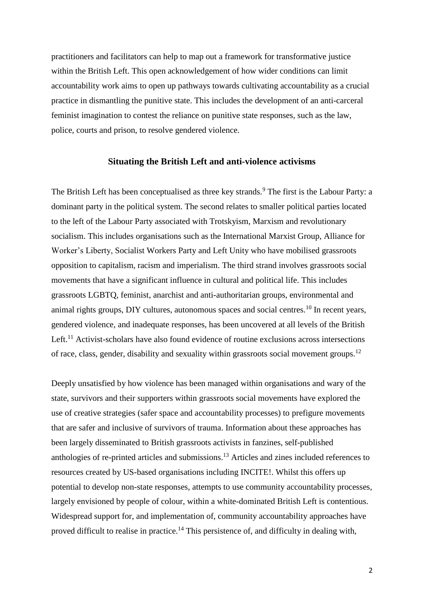practitioners and facilitators can help to map out a framework for transformative justice within the British Left. This open acknowledgement of how wider conditions can limit accountability work aims to open up pathways towards cultivating accountability as a crucial practice in dismantling the punitive state. This includes the development of an anti-carceral feminist imagination to contest the reliance on punitive state responses, such as the law, police, courts and prison, to resolve gendered violence.

# **Situating the British Left and anti-violence activisms**

The British Left has been conceptualised as three key strands.<sup>9</sup> The first is the Labour Party: a dominant party in the political system. The second relates to smaller political parties located to the left of the Labour Party associated with Trotskyism, Marxism and revolutionary socialism. This includes organisations such as the International Marxist Group, Alliance for Worker's Liberty, Socialist Workers Party and Left Unity who have mobilised grassroots opposition to capitalism, racism and imperialism. The third strand involves grassroots social movements that have a significant influence in cultural and political life. This includes grassroots LGBTQ, feminist, anarchist and anti-authoritarian groups, environmental and animal rights groups,  $\text{DIV}$  cultures, autonomous spaces and social centres.<sup>10</sup> In recent years, gendered violence, and inadequate responses, has been uncovered at all levels of the British Left.<sup>11</sup> Activist-scholars have also found evidence of routine exclusions across intersections of race, class, gender, disability and sexuality within grassroots social movement groups.<sup>12</sup>

Deeply unsatisfied by how violence has been managed within organisations and wary of the state, survivors and their supporters within grassroots social movements have explored the use of creative strategies (safer space and accountability processes) to prefigure movements that are safer and inclusive of survivors of trauma. Information about these approaches has been largely disseminated to British grassroots activists in fanzines, self-published anthologies of re-printed articles and submissions. <sup>13</sup> Articles and zines included references to resources created by US-based organisations including INCITE!. Whilst this offers up potential to develop non-state responses, attempts to use community accountability processes, largely envisioned by people of colour, within a white-dominated British Left is contentious. Widespread support for, and implementation of, community accountability approaches have proved difficult to realise in practice.<sup>14</sup> This persistence of, and difficulty in dealing with,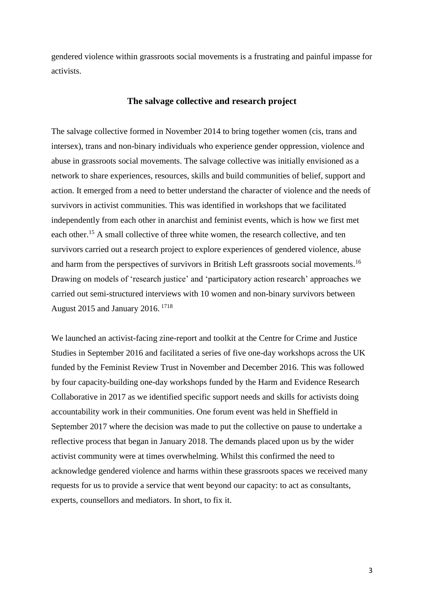gendered violence within grassroots social movements is a frustrating and painful impasse for activists.

# **The salvage collective and research project**

The salvage collective formed in November 2014 to bring together women (cis, trans and intersex), trans and non-binary individuals who experience gender oppression, violence and abuse in grassroots social movements. The salvage collective was initially envisioned as a network to share experiences, resources, skills and build communities of belief, support and action. It emerged from a need to better understand the character of violence and the needs of survivors in activist communities. This was identified in workshops that we facilitated independently from each other in anarchist and feminist events, which is how we first met each other. <sup>15</sup> A small collective of three white women, the research collective, and ten survivors carried out a research project to explore experiences of gendered violence, abuse and harm from the perspectives of survivors in British Left grassroots social movements.<sup>16</sup> Drawing on models of 'research justice' and 'participatory action research' approaches we carried out semi-structured interviews with 10 women and non-binary survivors between August 2015 and January 2016. <sup>1718</sup>

We launched an activist-facing zine-report and toolkit at the Centre for Crime and Justice Studies in September 2016 and facilitated a series of five one-day workshops across the UK funded by the Feminist Review Trust in November and December 2016. This was followed by four capacity-building one-day workshops funded by the Harm and Evidence Research Collaborative in 2017 as we identified specific support needs and skills for activists doing accountability work in their communities. One forum event was held in Sheffield in September 2017 where the decision was made to put the collective on pause to undertake a reflective process that began in January 2018. The demands placed upon us by the wider activist community were at times overwhelming. Whilst this confirmed the need to acknowledge gendered violence and harms within these grassroots spaces we received many requests for us to provide a service that went beyond our capacity: to act as consultants, experts, counsellors and mediators. In short, to fix it.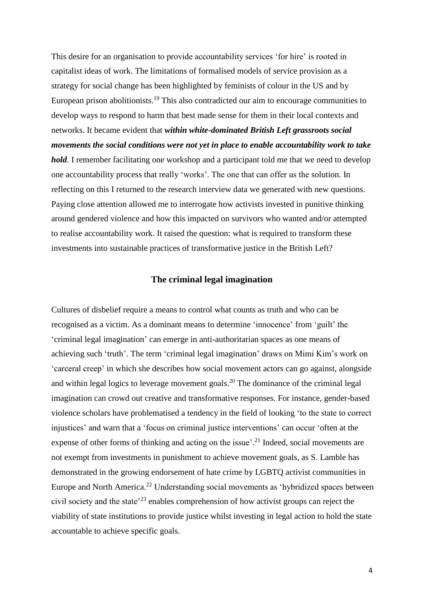This desire for an organisation to provide accountability services 'for hire' is rooted in capitalist ideas of work. The limitations of formalised models of service provision as a strategy for social change has been highlighted by feminists of colour in the US and by European prison abolitionists.<sup>19</sup> This also contradicted our aim to encourage communities to develop ways to respond to harm that best made sense for them in their local contexts and networks. It became evident that *within white-dominated British Left grassroots social movements the social conditions were not yet in place to enable accountability work to take hold*. I remember facilitating one workshop and a participant told me that we need to develop one accountability process that really 'works'. The one that can offer us the solution. In reflecting on this I returned to the research interview data we generated with new questions. Paying close attention allowed me to interrogate how activists invested in punitive thinking around gendered violence and how this impacted on survivors who wanted and/or attempted to realise accountability work. It raised the question: what is required to transform these investments into sustainable practices of transformative justice in the British Left?

# **The criminal legal imagination**

Cultures of disbelief require a means to control what counts as truth and who can be recognised as a victim. As a dominant means to determine 'innocence' from 'guilt' the 'criminal legal imagination' can emerge in anti-authoritarian spaces as one means of achieving such 'truth'. The term 'criminal legal imagination' draws on Mimi Kim's work on 'carceral creep' in which she describes how social movement actors can go against, alongside and within legal logics to leverage movement goals.<sup>20</sup> The dominance of the criminal legal imagination can crowd out creative and transformative responses. For instance, gender-based violence scholars have problematised a tendency in the field of looking 'to the state to correct injustices' and warn that a 'focus on criminal justice interventions' can occur 'often at the expense of other forms of thinking and acting on the issue'.<sup>21</sup> Indeed, social movements are not exempt from investments in punishment to achieve movement goals, as S. Lamble has demonstrated in the growing endorsement of hate crime by LGBTQ activist communities in Europe and North America.<sup>22</sup> Understanding social movements as 'hybridized spaces between civil society and the state'<sup>23</sup> enables comprehension of how activist groups can reject the viability of state institutions to provide justice whilst investing in legal action to hold the state accountable to achieve specific goals.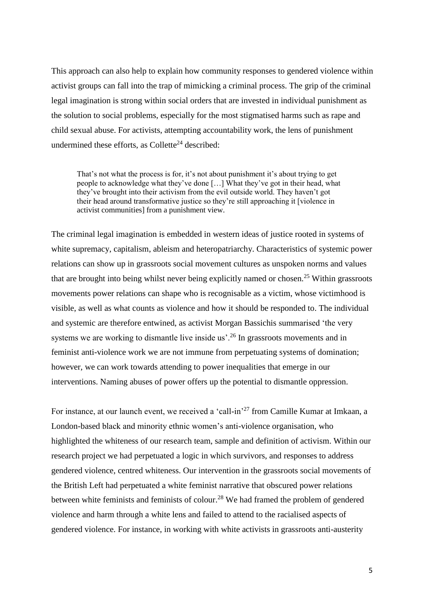This approach can also help to explain how community responses to gendered violence within activist groups can fall into the trap of mimicking a criminal process. The grip of the criminal legal imagination is strong within social orders that are invested in individual punishment as the solution to social problems, especially for the most stigmatised harms such as rape and child sexual abuse. For activists, attempting accountability work, the lens of punishment undermined these efforts, as Collette<sup>24</sup> described:

That's not what the process is for, it's not about punishment it's about trying to get people to acknowledge what they've done […] What they've got in their head, what they've brought into their activism from the evil outside world. They haven't got their head around transformative justice so they're still approaching it [violence in activist communities] from a punishment view.

The criminal legal imagination is embedded in western ideas of justice rooted in systems of white supremacy, capitalism, ableism and heteropatriarchy. Characteristics of systemic power relations can show up in grassroots social movement cultures as unspoken norms and values that are brought into being whilst never being explicitly named or chosen.<sup>25</sup> Within grassroots movements power relations can shape who is recognisable as a victim, whose victimhood is visible, as well as what counts as violence and how it should be responded to. The individual and systemic are therefore entwined, as activist Morgan Bassichis summarised 'the very systems we are working to dismantle live inside us'.<sup>26</sup> In grassroots movements and in feminist anti-violence work we are not immune from perpetuating systems of domination; however, we can work towards attending to power inequalities that emerge in our interventions. Naming abuses of power offers up the potential to dismantle oppression.

For instance, at our launch event, we received a 'call-in'<sup>27</sup> from Camille Kumar at Imkaan, a London-based black and minority ethnic women's anti-violence organisation, who highlighted the whiteness of our research team, sample and definition of activism. Within our research project we had perpetuated a logic in which survivors, and responses to address gendered violence, centred whiteness. Our intervention in the grassroots social movements of the British Left had perpetuated a white feminist narrative that obscured power relations between white feminists and feminists of colour.<sup>28</sup> We had framed the problem of gendered violence and harm through a white lens and failed to attend to the racialised aspects of gendered violence. For instance, in working with white activists in grassroots anti-austerity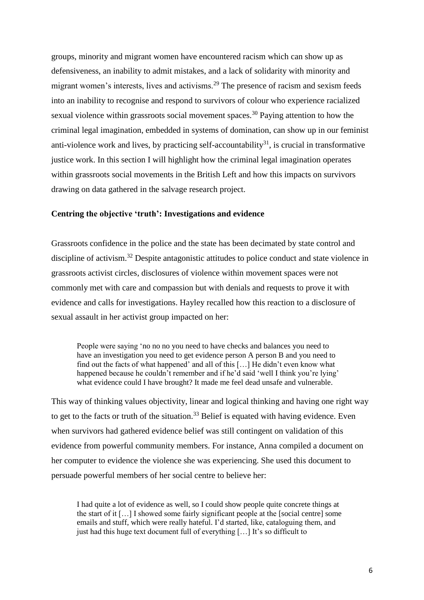groups, minority and migrant women have encountered racism which can show up as defensiveness, an inability to admit mistakes, and a lack of solidarity with minority and migrant women's interests, lives and activisms.<sup>29</sup> The presence of racism and sexism feeds into an inability to recognise and respond to survivors of colour who experience racialized sexual violence within grassroots social movement spaces.<sup>30</sup> Paying attention to how the criminal legal imagination, embedded in systems of domination, can show up in our feminist anti-violence work and lives, by practicing self-accountability<sup>31</sup>, is crucial in transformative justice work. In this section I will highlight how the criminal legal imagination operates within grassroots social movements in the British Left and how this impacts on survivors drawing on data gathered in the salvage research project.

# **Centring the objective 'truth': Investigations and evidence**

Grassroots confidence in the police and the state has been decimated by state control and discipline of activism.<sup>32</sup> Despite antagonistic attitudes to police conduct and state violence in grassroots activist circles, disclosures of violence within movement spaces were not commonly met with care and compassion but with denials and requests to prove it with evidence and calls for investigations. Hayley recalled how this reaction to a disclosure of sexual assault in her activist group impacted on her:

People were saying 'no no no you need to have checks and balances you need to have an investigation you need to get evidence person A person B and you need to find out the facts of what happened' and all of this […] He didn't even know what happened because he couldn't remember and if he'd said 'well I think you're lying' what evidence could I have brought? It made me feel dead unsafe and vulnerable.

This way of thinking values objectivity, linear and logical thinking and having one right way to get to the facts or truth of the situation.<sup>33</sup> Belief is equated with having evidence. Even when survivors had gathered evidence belief was still contingent on validation of this evidence from powerful community members. For instance, Anna compiled a document on her computer to evidence the violence she was experiencing. She used this document to persuade powerful members of her social centre to believe her:

I had quite a lot of evidence as well, so I could show people quite concrete things at the start of it […] I showed some fairly significant people at the [social centre] some emails and stuff, which were really hateful. I'd started, like, cataloguing them, and just had this huge text document full of everything […] It's so difficult to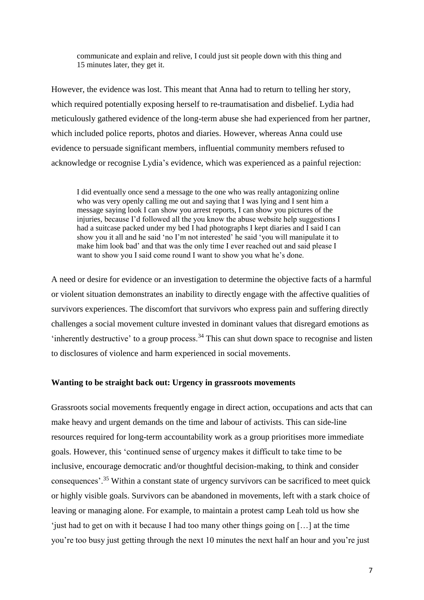communicate and explain and relive, I could just sit people down with this thing and 15 minutes later, they get it.

However, the evidence was lost. This meant that Anna had to return to telling her story, which required potentially exposing herself to re-traumatisation and disbelief. Lydia had meticulously gathered evidence of the long-term abuse she had experienced from her partner, which included police reports, photos and diaries. However, whereas Anna could use evidence to persuade significant members, influential community members refused to acknowledge or recognise Lydia's evidence, which was experienced as a painful rejection:

I did eventually once send a message to the one who was really antagonizing online who was very openly calling me out and saying that I was lying and I sent him a message saying look I can show you arrest reports, I can show you pictures of the injuries, because I'd followed all the you know the abuse website help suggestions I had a suitcase packed under my bed I had photographs I kept diaries and I said I can show you it all and he said 'no I'm not interested' he said 'you will manipulate it to make him look bad' and that was the only time I ever reached out and said please I want to show you I said come round I want to show you what he's done.

A need or desire for evidence or an investigation to determine the objective facts of a harmful or violent situation demonstrates an inability to directly engage with the affective qualities of survivors experiences. The discomfort that survivors who express pain and suffering directly challenges a social movement culture invested in dominant values that disregard emotions as  $'$ inherently destructive' to a group process.<sup>34</sup> This can shut down space to recognise and listen to disclosures of violence and harm experienced in social movements.

## **Wanting to be straight back out: Urgency in grassroots movements**

Grassroots social movements frequently engage in direct action, occupations and acts that can make heavy and urgent demands on the time and labour of activists. This can side-line resources required for long-term accountability work as a group prioritises more immediate goals. However, this 'continued sense of urgency makes it difficult to take time to be inclusive, encourage democratic and/or thoughtful decision-making, to think and consider consequences'.<sup>35</sup> Within a constant state of urgency survivors can be sacrificed to meet quick or highly visible goals. Survivors can be abandoned in movements, left with a stark choice of leaving or managing alone. For example, to maintain a protest camp Leah told us how she 'just had to get on with it because I had too many other things going on […] at the time you're too busy just getting through the next 10 minutes the next half an hour and you're just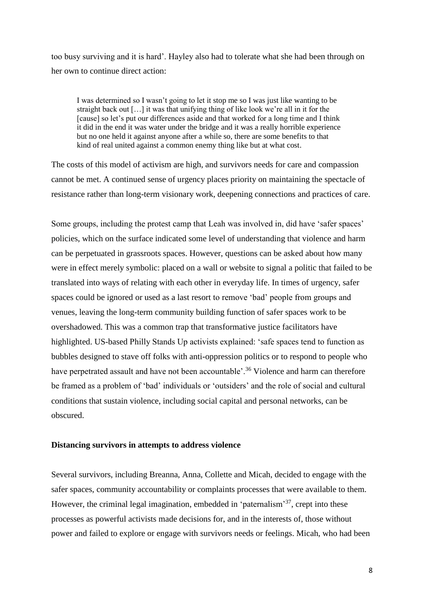too busy surviving and it is hard'. Hayley also had to tolerate what she had been through on her own to continue direct action:

I was determined so I wasn't going to let it stop me so I was just like wanting to be straight back out […] it was that unifying thing of like look we're all in it for the [cause] so let's put our differences aside and that worked for a long time and I think it did in the end it was water under the bridge and it was a really horrible experience but no one held it against anyone after a while so, there are some benefits to that kind of real united against a common enemy thing like but at what cost.

The costs of this model of activism are high, and survivors needs for care and compassion cannot be met. A continued sense of urgency places priority on maintaining the spectacle of resistance rather than long-term visionary work, deepening connections and practices of care.

Some groups, including the protest camp that Leah was involved in, did have 'safer spaces' policies, which on the surface indicated some level of understanding that violence and harm can be perpetuated in grassroots spaces. However, questions can be asked about how many were in effect merely symbolic: placed on a wall or website to signal a politic that failed to be translated into ways of relating with each other in everyday life. In times of urgency, safer spaces could be ignored or used as a last resort to remove 'bad' people from groups and venues, leaving the long-term community building function of safer spaces work to be overshadowed. This was a common trap that transformative justice facilitators have highlighted. US-based Philly Stands Up activists explained: 'safe spaces tend to function as bubbles designed to stave off folks with anti-oppression politics or to respond to people who have perpetrated assault and have not been accountable'.<sup>36</sup> Violence and harm can therefore be framed as a problem of 'bad' individuals or 'outsiders' and the role of social and cultural conditions that sustain violence, including social capital and personal networks, can be obscured.

## **Distancing survivors in attempts to address violence**

Several survivors, including Breanna, Anna, Collette and Micah, decided to engage with the safer spaces, community accountability or complaints processes that were available to them. However, the criminal legal imagination, embedded in 'paternalism'<sup>37</sup>, crept into these processes as powerful activists made decisions for, and in the interests of, those without power and failed to explore or engage with survivors needs or feelings. Micah, who had been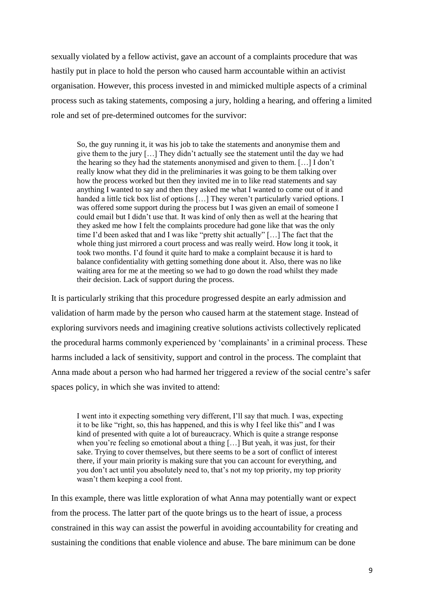sexually violated by a fellow activist, gave an account of a complaints procedure that was hastily put in place to hold the person who caused harm accountable within an activist organisation. However, this process invested in and mimicked multiple aspects of a criminal process such as taking statements, composing a jury, holding a hearing, and offering a limited role and set of pre-determined outcomes for the survivor:

So, the guy running it, it was his job to take the statements and anonymise them and give them to the jury […] They didn't actually see the statement until the day we had the hearing so they had the statements anonymised and given to them. […] I don't really know what they did in the preliminaries it was going to be them talking over how the process worked but then they invited me in to like read statements and say anything I wanted to say and then they asked me what I wanted to come out of it and handed a little tick box list of options […] They weren't particularly varied options. I was offered some support during the process but I was given an email of someone I could email but I didn't use that. It was kind of only then as well at the hearing that they asked me how I felt the complaints procedure had gone like that was the only time I'd been asked that and I was like "pretty shit actually" […] The fact that the whole thing just mirrored a court process and was really weird. How long it took, it took two months. I'd found it quite hard to make a complaint because it is hard to balance confidentiality with getting something done about it. Also, there was no like waiting area for me at the meeting so we had to go down the road whilst they made their decision. Lack of support during the process.

It is particularly striking that this procedure progressed despite an early admission and validation of harm made by the person who caused harm at the statement stage. Instead of exploring survivors needs and imagining creative solutions activists collectively replicated the procedural harms commonly experienced by 'complainants' in a criminal process. These harms included a lack of sensitivity, support and control in the process. The complaint that Anna made about a person who had harmed her triggered a review of the social centre's safer spaces policy, in which she was invited to attend:

I went into it expecting something very different, I'll say that much. I was, expecting it to be like "right, so, this has happened, and this is why I feel like this" and I was kind of presented with quite a lot of bureaucracy. Which is quite a strange response when you're feeling so emotional about a thing [...] But yeah, it was just, for their sake. Trying to cover themselves, but there seems to be a sort of conflict of interest there, if your main priority is making sure that you can account for everything, and you don't act until you absolutely need to, that's not my top priority, my top priority wasn't them keeping a cool front.

In this example, there was little exploration of what Anna may potentially want or expect from the process. The latter part of the quote brings us to the heart of issue, a process constrained in this way can assist the powerful in avoiding accountability for creating and sustaining the conditions that enable violence and abuse. The bare minimum can be done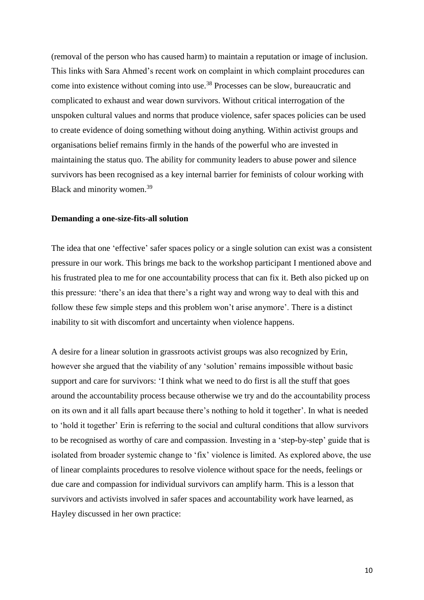(removal of the person who has caused harm) to maintain a reputation or image of inclusion. This links with Sara Ahmed's recent work on complaint in which complaint procedures can come into existence without coming into use.<sup>38</sup> Processes can be slow, bureaucratic and complicated to exhaust and wear down survivors. Without critical interrogation of the unspoken cultural values and norms that produce violence, safer spaces policies can be used to create evidence of doing something without doing anything. Within activist groups and organisations belief remains firmly in the hands of the powerful who are invested in maintaining the status quo. The ability for community leaders to abuse power and silence survivors has been recognised as a key internal barrier for feminists of colour working with Black and minority women.<sup>39</sup>

#### **Demanding a one-size-fits-all solution**

The idea that one 'effective' safer spaces policy or a single solution can exist was a consistent pressure in our work. This brings me back to the workshop participant I mentioned above and his frustrated plea to me for one accountability process that can fix it. Beth also picked up on this pressure: 'there's an idea that there's a right way and wrong way to deal with this and follow these few simple steps and this problem won't arise anymore'. There is a distinct inability to sit with discomfort and uncertainty when violence happens.

A desire for a linear solution in grassroots activist groups was also recognized by Erin, however she argued that the viability of any 'solution' remains impossible without basic support and care for survivors: 'I think what we need to do first is all the stuff that goes around the accountability process because otherwise we try and do the accountability process on its own and it all falls apart because there's nothing to hold it together'. In what is needed to 'hold it together' Erin is referring to the social and cultural conditions that allow survivors to be recognised as worthy of care and compassion. Investing in a 'step-by-step' guide that is isolated from broader systemic change to 'fix' violence is limited. As explored above, the use of linear complaints procedures to resolve violence without space for the needs, feelings or due care and compassion for individual survivors can amplify harm. This is a lesson that survivors and activists involved in safer spaces and accountability work have learned, as Hayley discussed in her own practice: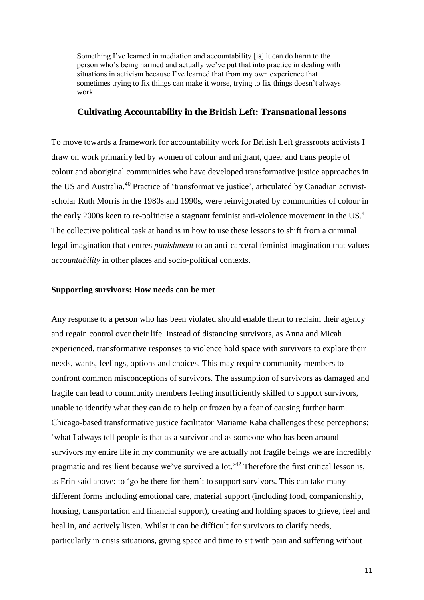Something I've learned in mediation and accountability [is] it can do harm to the person who's being harmed and actually we've put that into practice in dealing with situations in activism because I've learned that from my own experience that sometimes trying to fix things can make it worse, trying to fix things doesn't always work.

## **Cultivating Accountability in the British Left: Transnational lessons**

To move towards a framework for accountability work for British Left grassroots activists I draw on work primarily led by women of colour and migrant, queer and trans people of colour and aboriginal communities who have developed transformative justice approaches in the US and Australia. <sup>40</sup> Practice of 'transformative justice', articulated by Canadian activistscholar Ruth Morris in the 1980s and 1990s, were reinvigorated by communities of colour in the early 2000s keen to re-politicise a stagnant feminist anti-violence movement in the US.<sup>41</sup> The collective political task at hand is in how to use these lessons to shift from a criminal legal imagination that centres *punishment* to an anti-carceral feminist imagination that values *accountability* in other places and socio-political contexts.

#### **Supporting survivors: How needs can be met**

Any response to a person who has been violated should enable them to reclaim their agency and regain control over their life. Instead of distancing survivors, as Anna and Micah experienced, transformative responses to violence hold space with survivors to explore their needs, wants, feelings, options and choices. This may require community members to confront common misconceptions of survivors. The assumption of survivors as damaged and fragile can lead to community members feeling insufficiently skilled to support survivors, unable to identify what they can do to help or frozen by a fear of causing further harm. Chicago-based transformative justice facilitator Mariame Kaba challenges these perceptions: 'what I always tell people is that as a survivor and as someone who has been around survivors my entire life in my community we are actually not fragile beings we are incredibly pragmatic and resilient because we've survived a lot.'<sup>42</sup> Therefore the first critical lesson is, as Erin said above: to 'go be there for them': to support survivors. This can take many different forms including emotional care, material support (including food, companionship, housing, transportation and financial support), creating and holding spaces to grieve, feel and heal in, and actively listen. Whilst it can be difficult for survivors to clarify needs, particularly in crisis situations, giving space and time to sit with pain and suffering without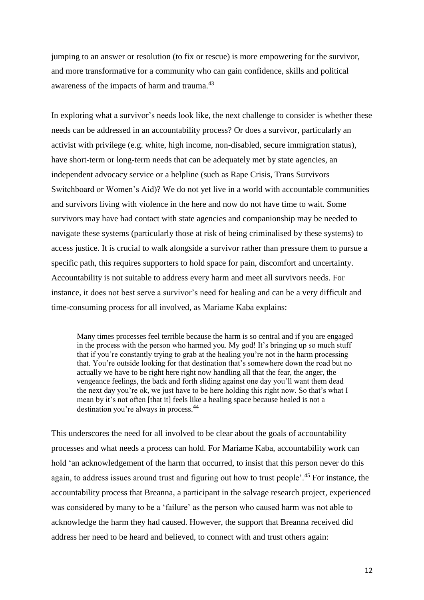jumping to an answer or resolution (to fix or rescue) is more empowering for the survivor, and more transformative for a community who can gain confidence, skills and political awareness of the impacts of harm and trauma.<sup>43</sup>

In exploring what a survivor's needs look like, the next challenge to consider is whether these needs can be addressed in an accountability process? Or does a survivor, particularly an activist with privilege (e.g. white, high income, non-disabled, secure immigration status), have short-term or long-term needs that can be adequately met by state agencies, an independent advocacy service or a helpline (such as Rape Crisis, Trans Survivors Switchboard or Women's Aid)? We do not yet live in a world with accountable communities and survivors living with violence in the here and now do not have time to wait. Some survivors may have had contact with state agencies and companionship may be needed to navigate these systems (particularly those at risk of being criminalised by these systems) to access justice. It is crucial to walk alongside a survivor rather than pressure them to pursue a specific path, this requires supporters to hold space for pain, discomfort and uncertainty. Accountability is not suitable to address every harm and meet all survivors needs. For instance, it does not best serve a survivor's need for healing and can be a very difficult and time-consuming process for all involved, as Mariame Kaba explains:

Many times processes feel terrible because the harm is so central and if you are engaged in the process with the person who harmed you. My god! It's bringing up so much stuff that if you're constantly trying to grab at the healing you're not in the harm processing that. You're outside looking for that destination that's somewhere down the road but no actually we have to be right here right now handling all that the fear, the anger, the vengeance feelings, the back and forth sliding against one day you'll want them dead the next day you're ok, we just have to be here holding this right now. So that's what I mean by it's not often [that it] feels like a healing space because healed is not a destination you're always in process.<sup>44</sup>

This underscores the need for all involved to be clear about the goals of accountability processes and what needs a process can hold. For Mariame Kaba, accountability work can hold 'an acknowledgement of the harm that occurred, to insist that this person never do this again, to address issues around trust and figuring out how to trust people'.<sup>45</sup> For instance, the accountability process that Breanna, a participant in the salvage research project, experienced was considered by many to be a 'failure' as the person who caused harm was not able to acknowledge the harm they had caused. However, the support that Breanna received did address her need to be heard and believed, to connect with and trust others again: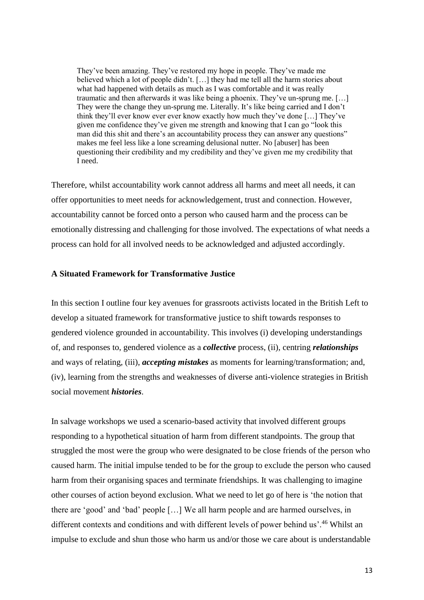They've been amazing. They've restored my hope in people. They've made me believed which a lot of people didn't. […] they had me tell all the harm stories about what had happened with details as much as I was comfortable and it was really traumatic and then afterwards it was like being a phoenix. They've un-sprung me. […] They were the change they un-sprung me. Literally. It's like being carried and I don't think they'll ever know ever ever know exactly how much they've done […] They've given me confidence they've given me strength and knowing that I can go "look this man did this shit and there's an accountability process they can answer any questions" makes me feel less like a lone screaming delusional nutter. No [abuser] has been questioning their credibility and my credibility and they've given me my credibility that I need.

Therefore, whilst accountability work cannot address all harms and meet all needs, it can offer opportunities to meet needs for acknowledgement, trust and connection. However, accountability cannot be forced onto a person who caused harm and the process can be emotionally distressing and challenging for those involved. The expectations of what needs a process can hold for all involved needs to be acknowledged and adjusted accordingly.

## **A Situated Framework for Transformative Justice**

In this section I outline four key avenues for grassroots activists located in the British Left to develop a situated framework for transformative justice to shift towards responses to gendered violence grounded in accountability. This involves (i) developing understandings of, and responses to, gendered violence as a *collective* process, (ii), centring *relationships* and ways of relating, (iii), *accepting mistakes* as moments for learning/transformation; and, (iv), learning from the strengths and weaknesses of diverse anti-violence strategies in British social movement *histories*.

In salvage workshops we used a scenario-based activity that involved different groups responding to a hypothetical situation of harm from different standpoints. The group that struggled the most were the group who were designated to be close friends of the person who caused harm. The initial impulse tended to be for the group to exclude the person who caused harm from their organising spaces and terminate friendships. It was challenging to imagine other courses of action beyond exclusion. What we need to let go of here is 'the notion that there are 'good' and 'bad' people […] We all harm people and are harmed ourselves, in different contexts and conditions and with different levels of power behind us'.<sup>46</sup> Whilst an impulse to exclude and shun those who harm us and/or those we care about is understandable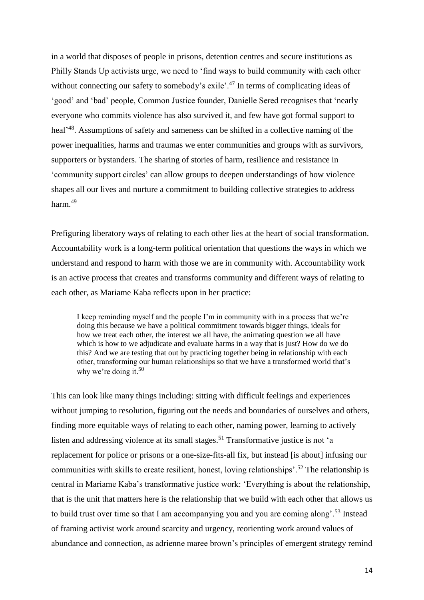in a world that disposes of people in prisons, detention centres and secure institutions as Philly Stands Up activists urge, we need to 'find ways to build community with each other without connecting our safety to somebody's exile'.<sup>47</sup> In terms of complicating ideas of 'good' and 'bad' people, Common Justice founder, Danielle Sered recognises that 'nearly everyone who commits violence has also survived it, and few have got formal support to heal<sup>'48</sup>. Assumptions of safety and sameness can be shifted in a collective naming of the power inequalities, harms and traumas we enter communities and groups with as survivors, supporters or bystanders. The sharing of stories of harm, resilience and resistance in 'community support circles' can allow groups to deepen understandings of how violence shapes all our lives and nurture a commitment to building collective strategies to address harm.<sup>49</sup>

Prefiguring liberatory ways of relating to each other lies at the heart of social transformation. Accountability work is a long-term political orientation that questions the ways in which we understand and respond to harm with those we are in community with. Accountability work is an active process that creates and transforms community and different ways of relating to each other, as Mariame Kaba reflects upon in her practice:

I keep reminding myself and the people I'm in community with in a process that we're doing this because we have a political commitment towards bigger things, ideals for how we treat each other, the interest we all have, the animating question we all have which is how to we adjudicate and evaluate harms in a way that is just? How do we do this? And we are testing that out by practicing together being in relationship with each other, transforming our human relationships so that we have a transformed world that's why we're doing it.<sup>50</sup>

This can look like many things including: sitting with difficult feelings and experiences without jumping to resolution, figuring out the needs and boundaries of ourselves and others, finding more equitable ways of relating to each other, naming power, learning to actively listen and addressing violence at its small stages.<sup>51</sup> Transformative justice is not 'a replacement for police or prisons or a one-size-fits-all fix, but instead [is about] infusing our communities with skills to create resilient, honest, loving relationships'.<sup>52</sup> The relationship is central in Mariame Kaba's transformative justice work: 'Everything is about the relationship, that is the unit that matters here is the relationship that we build with each other that allows us to build trust over time so that I am accompanying you and you are coming along'.<sup>53</sup> Instead of framing activist work around scarcity and urgency, reorienting work around values of abundance and connection, as adrienne maree brown's principles of emergent strategy remind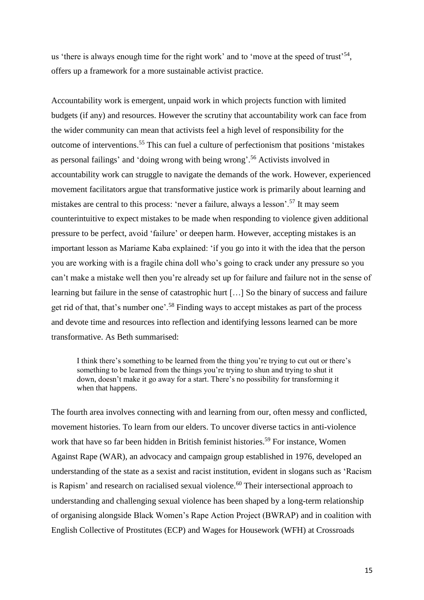us 'there is always enough time for the right work' and to 'move at the speed of trust'<sup>54</sup>, offers up a framework for a more sustainable activist practice.

Accountability work is emergent, unpaid work in which projects function with limited budgets (if any) and resources. However the scrutiny that accountability work can face from the wider community can mean that activists feel a high level of responsibility for the outcome of interventions. <sup>55</sup> This can fuel a culture of perfectionism that positions 'mistakes as personal failings' and 'doing wrong with being wrong'. <sup>56</sup> Activists involved in accountability work can struggle to navigate the demands of the work. However, experienced movement facilitators argue that transformative justice work is primarily about learning and mistakes are central to this process: 'never a failure, always a lesson'.<sup>57</sup> It may seem counterintuitive to expect mistakes to be made when responding to violence given additional pressure to be perfect, avoid 'failure' or deepen harm. However, accepting mistakes is an important lesson as Mariame Kaba explained: 'if you go into it with the idea that the person you are working with is a fragile china doll who's going to crack under any pressure so you can't make a mistake well then you're already set up for failure and failure not in the sense of learning but failure in the sense of catastrophic hurt […] So the binary of success and failure get rid of that, that's number one'.<sup>58</sup> Finding ways to accept mistakes as part of the process and devote time and resources into reflection and identifying lessons learned can be more transformative. As Beth summarised:

I think there's something to be learned from the thing you're trying to cut out or there's something to be learned from the things you're trying to shun and trying to shut it down, doesn't make it go away for a start. There's no possibility for transforming it when that happens.

The fourth area involves connecting with and learning from our, often messy and conflicted, movement histories. To learn from our elders. To uncover diverse tactics in anti-violence work that have so far been hidden in British feminist histories.<sup>59</sup> For instance, Women Against Rape (WAR), an advocacy and campaign group established in 1976, developed an understanding of the state as a sexist and racist institution, evident in slogans such as 'Racism is Rapism' and research on racialised sexual violence.<sup>60</sup> Their intersectional approach to understanding and challenging sexual violence has been shaped by a long-term relationship of organising alongside Black Women's Rape Action Project (BWRAP) and in coalition with English Collective of Prostitutes (ECP) and Wages for Housework (WFH) at Crossroads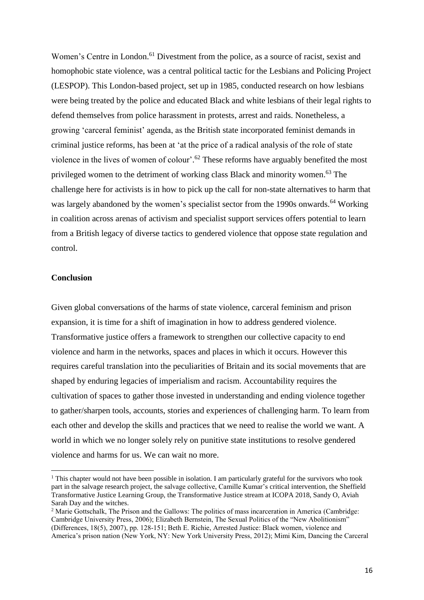Women's Centre in London. <sup>61</sup> Divestment from the police, as a source of racist, sexist and homophobic state violence, was a central political tactic for the Lesbians and Policing Project (LESPOP). This London-based project, set up in 1985, conducted research on how lesbians were being treated by the police and educated Black and white lesbians of their legal rights to defend themselves from police harassment in protests, arrest and raids. Nonetheless, a growing 'carceral feminist' agenda, as the British state incorporated feminist demands in criminal justice reforms, has been at 'at the price of a radical analysis of the role of state violence in the lives of women of colour'.<sup>62</sup> These reforms have arguably benefited the most privileged women to the detriment of working class Black and minority women.<sup>63</sup> The challenge here for activists is in how to pick up the call for non-state alternatives to harm that was largely abandoned by the women's specialist sector from the 1990s onwards.<sup>64</sup> Working in coalition across arenas of activism and specialist support services offers potential to learn from a British legacy of diverse tactics to gendered violence that oppose state regulation and control.

## **Conclusion**

<u>.</u>

Given global conversations of the harms of state violence, carceral feminism and prison expansion, it is time for a shift of imagination in how to address gendered violence. Transformative justice offers a framework to strengthen our collective capacity to end violence and harm in the networks, spaces and places in which it occurs. However this requires careful translation into the peculiarities of Britain and its social movements that are shaped by enduring legacies of imperialism and racism. Accountability requires the cultivation of spaces to gather those invested in understanding and ending violence together to gather/sharpen tools, accounts, stories and experiences of challenging harm. To learn from each other and develop the skills and practices that we need to realise the world we want. A world in which we no longer solely rely on punitive state institutions to resolve gendered violence and harms for us. We can wait no more.

<sup>&</sup>lt;sup>1</sup> This chapter would not have been possible in isolation. I am particularly grateful for the survivors who took part in the salvage research project, the salvage collective, Camille Kumar's critical intervention, the Sheffield Transformative Justice Learning Group, the Transformative Justice stream at ICOPA 2018, Sandy O, Aviah Sarah Day and the witches.

<sup>&</sup>lt;sup>2</sup> Marie Gottschalk, The Prison and the Gallows: The politics of mass incarceration in America (Cambridge: Cambridge University Press, 2006); Elizabeth Bernstein, The Sexual Politics of the "New Abolitionism" (Differences, 18(5), 2007), pp. 128-151; Beth E. Richie, Arrested Justice: Black women, violence and America's prison nation (New York, NY: New York University Press, 2012); Mimi Kim, Dancing the Carceral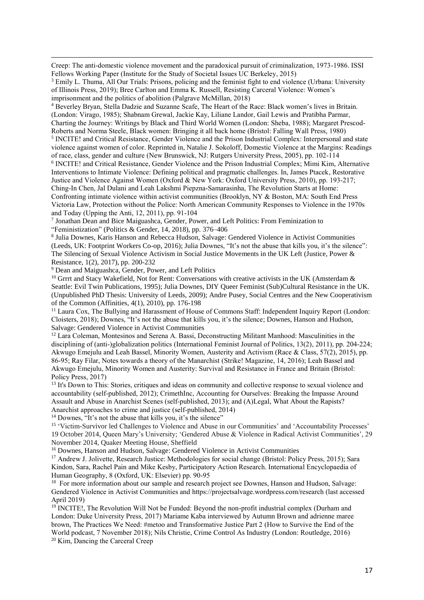Creep: The anti-domestic violence movement and the paradoxical pursuit of criminalization, 1973-1986. ISSI Fellows Working Paper (Institute for the Study of Societal Issues UC Berkeley, 2015)

<sup>3</sup> Emily L. Thuma, All Our Trials: Prisons, policing and the feminist fight to end violence (Urbana: University of Illinois Press, 2019); Bree Carlton and Emma K. Russell, Resisting Carceral Violence: Women's imprisonment and the politics of abolition (Palgrave McMillan, 2018)

<sup>4</sup> Beverley Bryan, Stella Dadzie and Suzanne Scafe, The Heart of the Race: Black women's lives in Britain. (London: Virago, 1985); Shabnam Grewal, Jackie Kay, Liliane Landor, Gail Lewis and Pratibha Parmar, Charting the Journey: Writings by Black and Third World Women (London: Sheba, 1988); Margaret Prescod-Roberts and Norma Steele, Black women: Bringing it all back home (Bristol: Falling Wall Press, 1980) <sup>5</sup> INCITE! and Critical Resistance, Gender Violence and the Prison Industrial Complex: Interpersonal and state violence against women of color. Reprinted in, Natalie J. Sokoloff, Domestic Violence at the Margins: Readings of race, class, gender and culture (New Brunswick, NJ: Rutgers University Press, 2005), pp. 102-114 <sup>6</sup> INCITE! and Critical Resistance, Gender Violence and the Prison Industrial Complex; Mimi Kim, Alternative Interventions to Intimate Violence: Defining political and pragmatic challenges. In, James Ptacek, Restorative Justice and Violence Against Women (Oxford & New York: Oxford University Press, 2010), pp. 193-217; Ching-In Chen, Jal Dulani and Leah Lakshmi Piepzna-Samarasinha, The Revolution Starts at Home: Confronting intimate violence within activist communities (Brooklyn, NY & Boston, MA: South End Press Victoria Law, Protection without the Police: North American Community Responses to Violence in the 1970s

and Today (Upping the Anti, 12, 2011), pp. 91-104

<u>.</u>

7 Jonathan Dean and Bice Maiguashca, Gender, Power, and Left Politics: From Feminization to "Feministization" (Politics & Gender, 14, 2018), pp. 376–406

8 Julia Downes, Karis Hanson and Rebecca Hudson, Salvage: Gendered Violence in Activist Communities (Leeds, UK: Footprint Workers Co-op, 2016); Julia Downes, "It's not the abuse that kills you, it's the silence": The Silencing of Sexual Violence Activism in Social Justice Movements in the UK Left (Justice, Power & Resistance, 1(2), 2017), pp. 200-232

<sup>9</sup> Dean and Maiguashca, Gender, Power, and Left Politics

 $10$  Grrrt and Stacy Wakefield, Not for Rent: Conversations with creative activists in the UK (Amsterdam  $\&$ Seattle: Evil Twin Publications, 1995); Julia Downes, DIY Queer Feminist (Sub)Cultural Resistance in the UK. (Unpublished PhD Thesis: University of Leeds, 2009); Andre Pusey, Social Centres and the New Cooperativism of the Common (Affinities, 4(1), 2010), pp. 176-198

<sup>11</sup> Laura Cox, The Bullying and Harassment of House of Commons Staff: Independent Inquiry Report (London: Cloisters, 2018); Downes, "It's not the abuse that kills you, it's the silence; Downes, Hanson and Hudson, Salvage: Gendered Violence in Activist Communities

<sup>12</sup> Lara Coleman, Montesinos and Serena A. Bassi, Deconstructing Militant Manhood: Masculinities in the disciplining of (anti-)globalization politics (International Feminist Journal of Politics, 13(2), 2011), pp. 204-224; Akwugo Emejulu and Leah Bassel, Minority Women, Austerity and Activism (Race & Class, 57(2), 2015), pp. 86-95; Ray Filar, Notes towards a theory of the Manarchist (Strike! Magazine, 14, 2016); Leah Bassel and Akwugo Emejulu, Minority Women and Austerity: Survival and Resistance in France and Britain (Bristol: Policy Press, 2017)

<sup>13</sup> It's Down to This: Stories, critiques and ideas on community and collective response to sexual violence and accountability (self-published, 2012); CrimethInc, Accounting for Ourselves: Breaking the Impasse Around Assault and Abuse in Anarchist Scenes (self-published, 2013); and (A)Legal, What About the Rapists? Anarchist approaches to crime and justice (self-published, 2014)

<sup>14</sup> Downes, "It's not the abuse that kills you, it's the silence"

<sup>15</sup> 'Victim-Survivor led Challenges to Violence and Abuse in our Communities' and 'Accountability Processes' 19 October 2014, Queen Mary's University; 'Gendered Abuse & Violence in Radical Activist Communities', 29 November 2014, Quaker Meeting House, Sheffield

<sup>16</sup> Downes, Hanson and Hudson, Salvage: Gendered Violence in Activist Communities

<sup>17</sup> Andrew J. Jolivette, Research Justice: Methodologies for social change (Bristol: Policy Press, 2015); Sara Kindon, Sara, Rachel Pain and Mike Kesby, Participatory Action Research. International Encyclopaedia of Human Geography, 8 (Oxford, UK: Elsevier) pp. 90-95

<sup>18</sup> For more information about our sample and research project see Downes, Hanson and Hudson, Salvage: Gendered Violence in Activist Communities and https://projectsalvage.wordpress.com/research (last accessed April 2019)

<sup>19</sup> INCITE!, The Revolution Will Not be Funded: Beyond the non-profit industrial complex (Durham and London: Duke University Press, 2017) Mariame Kaba interviewed by Autumn Brown and adrienne maree brown, The Practices We Need: #metoo and Transformative Justice Part 2 (How to Survive the End of the World podcast, 7 November 2018); Nils Christie, Crime Control As Industry (London: Routledge, 2016) <sup>20</sup> Kim, Dancing the Carceral Creep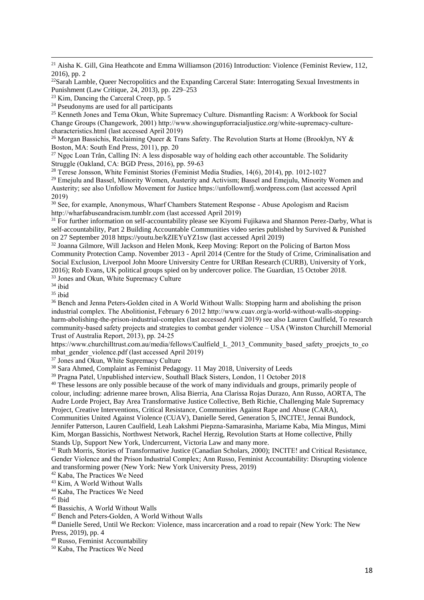<sup>24</sup> Pseudonyms are used for all participants

<sup>25</sup> Kenneth Jones and Tema Okun, White Supremacy Culture. Dismantling Racism: A Workbook for Social Change Groups (Changework, 2001) http://www.showingupforracialjustice.org/white-supremacy-culturecharacteristics.html (last accessed April 2019)

<sup>26</sup> Morgan Bassichis, Reclaiming Queer & Trans Safety. The Revolution Starts at Home (Brooklyn, NY & Boston, MA: South End Press, 2011), pp. 20

<sup>27</sup> Ngọc Loan Trân, Calling IN: A less disposable way of holding each other accountable. The Solidarity Struggle (Oakland, CA: BGD Press, 2016), pp. 59-63

<sup>28</sup> Terese Jonsson, White Feminist Stories (Feminist Media Studies, 14(6), 2014), pp. 1012-1027

<sup>29</sup> Emejulu and Bassel, Minority Women, Austerity and Activism; Bassel and Emejulu, Minority Women and Austerity; see also Unfollow Movement for Justice https://unfollowmfj.wordpress.com (last accessed April 2019)

<sup>30</sup> See, for example, Anonymous, Wharf Chambers Statement Response - Abuse Apologism and Racism http://wharfabuseandracism.tumblr.com (last accessed April 2019)

<sup>31</sup> For further information on self-accountability please see Kiyomi Fujikawa and Shannon Perez-Darby, What is self-accountability, Part 2 Building Accountable Communities video series published by Survived & Punished on 27 September 2018 https://youtu.be/kZIEYuYZ1sw (last accessed April 2019)

<sup>32</sup> Joanna Gilmore, Will Jackson and Helen Monk, Keep Moving: Report on the Policing of Barton Moss Community Protection Camp. November 2013 - April 2014 (Centre for the Study of Crime, Criminalisation and Social Exclusion, Liverpool John Moore University Centre for URBan Research (CURB), University of York, 2016); Rob Evans, UK political groups spied on by undercover police. The Guardian, 15 October 2018.

<sup>33</sup> Jones and Okun, White Supremacy Culture

<sup>34</sup> ibid

<u>.</u>

 $35$  ibid

<sup>36</sup> Bench and Jenna Peters-Golden cited in A World Without Walls: Stopping harm and abolishing the prison industrial complex. The Abolitionist, February 6 2012 http://www.cuav.org/a-world-without-walls-stoppingharm-abolishing-the-prison-industrial-complex (last accessed April 2019) see also Lauren Caulfield, To research community-based safety projects and strategies to combat gender violence – USA (Winston Churchill Memorial Trust of Australia Report, 2013), pp. 24-25

https://www.churchilltrust.com.au/media/fellows/Caulfield L\_2013\_Community\_based\_safety\_proejcts\_to\_co mbat\_gender\_violence.pdf (last accessed April 2019)

<sup>37</sup> Jones and Okun, White Supremacy Culture

<sup>38</sup> Sara Ahmed, Complaint as Feminist Pedagogy. 11 May 2018, University of Leeds

<sup>39</sup> Pragna Patel, Unpublished interview, Southall Black Sisters, London, 11 October 2018

<sup>40</sup> These lessons are only possible because of the work of many individuals and groups, primarily people of colour, including: adrienne maree brown, Alisa Bierria, Ana Clarissa Rojas Durazo, Ann Russo, AORTA, The Audre Lorde Project, Bay Area Transformative Justice Collective, Beth Richie, Challenging Male Supremacy Project, Creative Interventions, Critical Resistance, Communities Against Rape and Abuse (CARA),

Communities United Against Violence (CUAV), Danielle Sered, Generation 5, INCITE!, Jennai Bundock, Jennifer Patterson, Lauren Caulfield, Leah Lakshmi Piepzna-Samarasinha, Mariame Kaba, Mia Mingus, Mimi Kim, Morgan Bassichis, Northwest Network, Rachel Herzig, Revolution Starts at Home collective, Philly Stands Up, Support New York, Undercurrent, Victoria Law and many more.

<sup>41</sup> Ruth Morris, Stories of Transformative Justice (Canadian Scholars, 2000); INCITE! and Critical Resistance, Gender Violence and the Prison Industrial Complex; Ann Russo, Feminist Accountability: Disrupting violence and transforming power (New York: New York University Press, 2019)

<sup>42</sup> Kaba, The Practices We Need

<sup>43</sup> Kim, A World Without Walls

<sup>44</sup> Kaba, The Practices We Need

<sup>45</sup> Ibid

<sup>46</sup> Bassichis, A World Without Walls

<sup>47</sup> Bench and Peters-Golden, A World Without Walls

<sup>48</sup> Danielle Sered, Until We Reckon: Violence, mass incarceration and a road to repair (New York: The New Press, 2019), pp. 4

<sup>49</sup> Russo, Feminist Accountability

<sup>50</sup> Kaba, The Practices We Need

<sup>&</sup>lt;sup>21</sup> Aisha K. Gill, Gina Heathcote and Emma Williamson (2016) Introduction: Violence (Feminist Review, 112, 2016), pp. 2

<sup>&</sup>lt;sup>22</sup>Sarah Lamble, Queer Necropolitics and the Expanding Carceral State: Interrogating Sexual Investments in Punishment (Law Critique, 24, 2013), pp. 229–253

<sup>&</sup>lt;sup>23</sup> Kim, Dancing the Carceral Creep, pp. 5